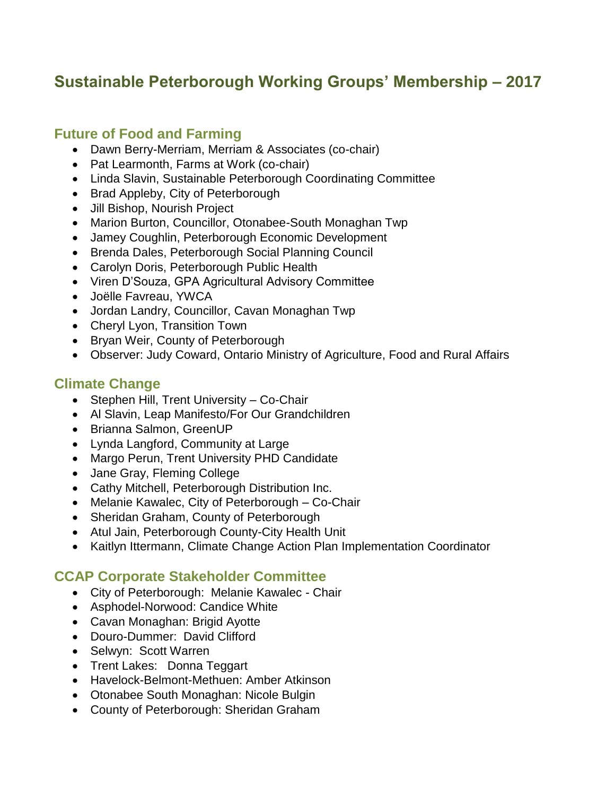# **Sustainable Peterborough Working Groups' Membership – 2017**

# **Future of Food and Farming**

- Dawn Berry-Merriam, Merriam & Associates (co-chair)
- Pat Learmonth, Farms at Work (co-chair)
- Linda Slavin, Sustainable Peterborough Coordinating Committee
- Brad Appleby, City of Peterborough
- Jill Bishop, Nourish Project
- Marion Burton, Councillor, Otonabee-South Monaghan Twp
- Jamey Coughlin, Peterborough Economic Development
- Brenda Dales, Peterborough Social Planning Council
- Carolyn Doris, Peterborough Public Health
- Viren D'Souza, GPA Agricultural Advisory Committee
- Joëlle Favreau, YWCA
- Jordan Landry, Councillor, Cavan Monaghan Twp
- Cheryl Lyon, Transition Town
- Bryan Weir, County of Peterborough
- Observer: Judy Coward, Ontario Ministry of Agriculture, Food and Rural Affairs

# **Climate Change**

- Stephen Hill, Trent University Co-Chair
- Al Slavin, Leap Manifesto/For Our Grandchildren
- Brianna Salmon, GreenUP
- Lynda Langford, Community at Large
- Margo Perun, Trent University PHD Candidate
- Jane Gray, Fleming College
- Cathy Mitchell, Peterborough Distribution Inc.
- Melanie Kawalec, City of Peterborough Co-Chair
- Sheridan Graham, County of Peterborough
- Atul Jain, Peterborough County-City Health Unit
- Kaitlyn Ittermann, Climate Change Action Plan Implementation Coordinator

# **CCAP Corporate Stakeholder Committee**

- City of Peterborough: Melanie Kawalec Chair
- Asphodel-Norwood: Candice White
- Cavan Monaghan: Brigid Ayotte
- Douro-Dummer: David Clifford
- Selwyn: Scott Warren
- Trent Lakes: Donna Teggart
- Havelock-Belmont-Methuen: Amber Atkinson
- Otonabee South Monaghan: Nicole Bulgin
- County of Peterborough: Sheridan Graham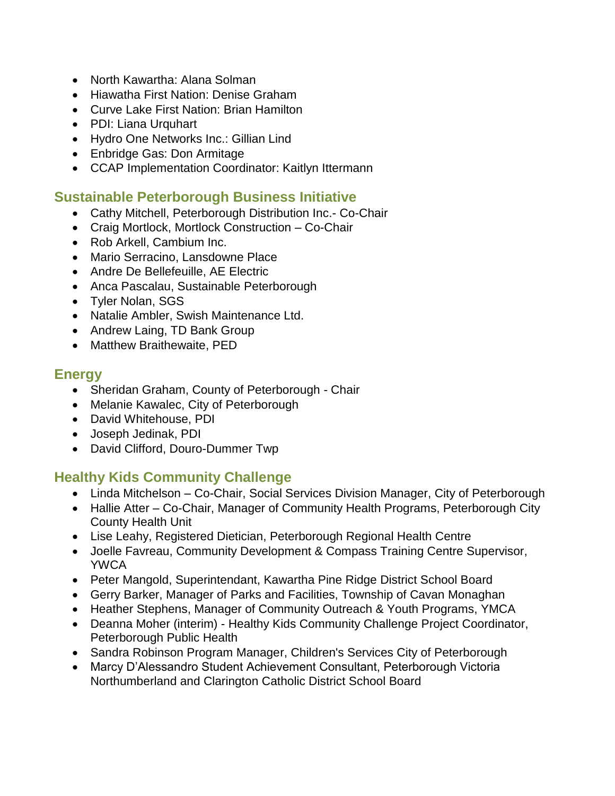- North Kawartha: Alana Solman
- Hiawatha First Nation: Denise Graham
- Curve Lake First Nation: Brian Hamilton
- PDI: Liana Urquhart
- Hydro One Networks Inc.: Gillian Lind
- Enbridge Gas: Don Armitage
- CCAP Implementation Coordinator: Kaitlyn Ittermann

#### **Sustainable Peterborough Business Initiative**

- Cathy Mitchell, Peterborough Distribution Inc.- Co-Chair
- Craig Mortlock, Mortlock Construction Co-Chair
- Rob Arkell, Cambium Inc.
- Mario Serracino, Lansdowne Place
- Andre De Bellefeuille, AE Electric
- Anca Pascalau, Sustainable Peterborough
- Tyler Nolan, SGS
- Natalie Ambler, Swish Maintenance Ltd.
- Andrew Laing, TD Bank Group
- Matthew Braithewaite, PED

#### **Energy**

- Sheridan Graham, County of Peterborough Chair
- Melanie Kawalec, City of Peterborough
- David Whitehouse, PDI
- Joseph Jedinak, PDI
- David Clifford, Douro-Dummer Twp

# **Healthy Kids Community Challenge**

- Linda Mitchelson Co-Chair, Social Services Division Manager, City of Peterborough
- Hallie Atter Co-Chair, Manager of Community Health Programs, Peterborough City County Health Unit
- Lise Leahy, Registered Dietician, Peterborough Regional Health Centre
- Joelle Favreau, Community Development & Compass Training Centre Supervisor, YWCA
- Peter Mangold, Superintendant, Kawartha Pine Ridge District School Board
- Gerry Barker, Manager of Parks and Facilities, Township of Cavan Monaghan
- Heather Stephens, Manager of Community Outreach & Youth Programs, YMCA
- Deanna Moher (interim) Healthy Kids Community Challenge Project Coordinator, Peterborough Public Health
- Sandra Robinson Program Manager, Children's Services City of Peterborough
- Marcy D'Alessandro Student Achievement Consultant, Peterborough Victoria Northumberland and Clarington Catholic District School Board